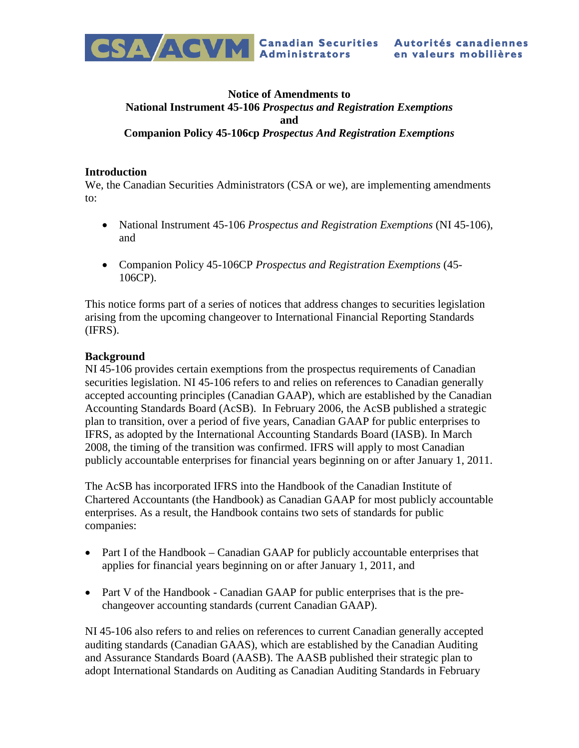

# **Notice of Amendments to National Instrument 45-106** *Prospectus and Registration Exemptions* **and Companion Policy 45-106cp** *Prospectus And Registration Exemptions*

#### **Introduction**

We, the Canadian Securities Administrators (CSA or we), are implementing amendments to:

- National Instrument 45-106 *Prospectus and Registration Exemptions* (NI 45-106), and
- Companion Policy 45-106CP *Prospectus and Registration Exemptions* (45- 106CP).

This notice forms part of a series of notices that address changes to securities legislation arising from the upcoming changeover to International Financial Reporting Standards (IFRS).

### **Background**

NI 45-106 provides certain exemptions from the prospectus requirements of Canadian securities legislation. NI 45-106 refers to and relies on references to Canadian generally accepted accounting principles (Canadian GAAP), which are established by the Canadian Accounting Standards Board (AcSB). In February 2006, the AcSB published a strategic plan to transition, over a period of five years, Canadian GAAP for public enterprises to IFRS, as adopted by the International Accounting Standards Board (IASB). In March 2008, the timing of the transition was confirmed. IFRS will apply to most Canadian publicly accountable enterprises for financial years beginning on or after January 1, 2011.

The AcSB has incorporated IFRS into the Handbook of the Canadian Institute of Chartered Accountants (the Handbook) as Canadian GAAP for most publicly accountable enterprises. As a result, the Handbook contains two sets of standards for public companies:

- Part I of the Handbook Canadian GAAP for publicly accountable enterprises that applies for financial years beginning on or after January 1, 2011, and
- Part V of the Handbook Canadian GAAP for public enterprises that is the prechangeover accounting standards (current Canadian GAAP).

NI 45-106 also refers to and relies on references to current Canadian generally accepted auditing standards (Canadian GAAS), which are established by the Canadian Auditing and Assurance Standards Board (AASB). The AASB published their strategic plan to adopt International Standards on Auditing as Canadian Auditing Standards in February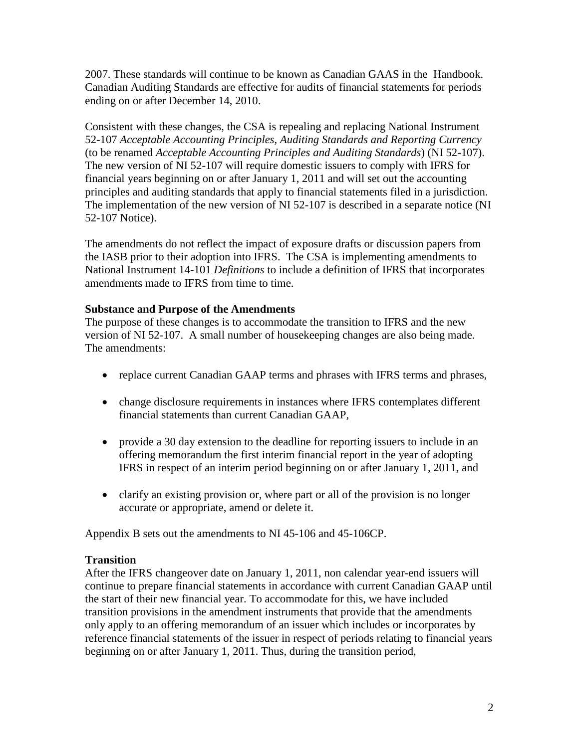2007. These standards will continue to be known as Canadian GAAS in the Handbook. Canadian Auditing Standards are effective for audits of financial statements for periods ending on or after December 14, 2010.

Consistent with these changes, the CSA is repealing and replacing National Instrument 52-107 *Acceptable Accounting Principles, Auditing Standards and Reporting Currency* (to be renamed *Acceptable Accounting Principles and Auditing Standards*) (NI 52-107). The new version of NI 52-107 will require domestic issuers to comply with IFRS for financial years beginning on or after January 1, 2011 and will set out the accounting principles and auditing standards that apply to financial statements filed in a jurisdiction. The implementation of the new version of NI 52-107 is described in a separate notice (NI 52-107 Notice).

The amendments do not reflect the impact of exposure drafts or discussion papers from the IASB prior to their adoption into IFRS. The CSA is implementing amendments to National Instrument 14-101 *Definitions* to include a definition of IFRS that incorporates amendments made to IFRS from time to time.

### **Substance and Purpose of the Amendments**

The purpose of these changes is to accommodate the transition to IFRS and the new version of NI 52-107. A small number of housekeeping changes are also being made. The amendments:

- replace current Canadian GAAP terms and phrases with IFRS terms and phrases,
- change disclosure requirements in instances where IFRS contemplates different financial statements than current Canadian GAAP,
- provide a 30 day extension to the deadline for reporting issuers to include in an offering memorandum the first interim financial report in the year of adopting IFRS in respect of an interim period beginning on or after January 1, 2011, and
- clarify an existing provision or, where part or all of the provision is no longer accurate or appropriate, amend or delete it.

Appendix B sets out the amendments to NI 45-106 and 45-106CP.

# **Transition**

After the IFRS changeover date on January 1, 2011, non calendar year-end issuers will continue to prepare financial statements in accordance with current Canadian GAAP until the start of their new financial year. To accommodate for this, we have included transition provisions in the amendment instruments that provide that the amendments only apply to an offering memorandum of an issuer which includes or incorporates by reference financial statements of the issuer in respect of periods relating to financial years beginning on or after January 1, 2011. Thus, during the transition period,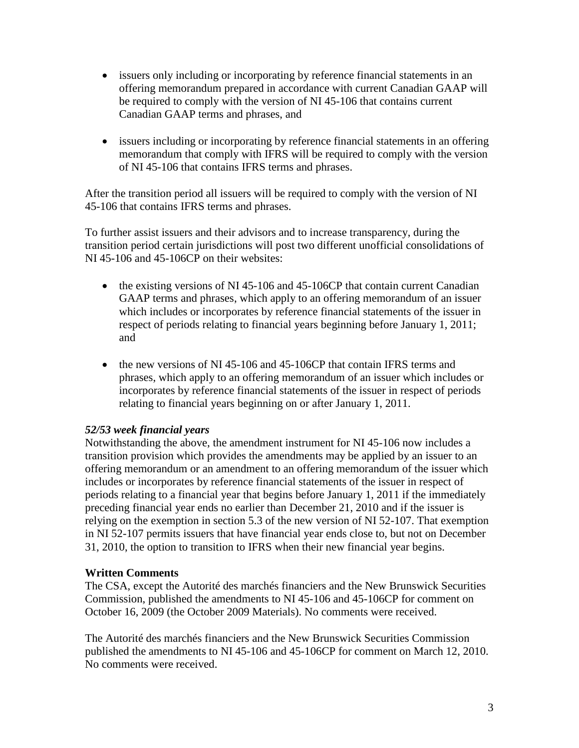- issuers only including or incorporating by reference financial statements in an offering memorandum prepared in accordance with current Canadian GAAP will be required to comply with the version of NI 45-106 that contains current Canadian GAAP terms and phrases, and
- issuers including or incorporating by reference financial statements in an offering memorandum that comply with IFRS will be required to comply with the version of NI 45-106 that contains IFRS terms and phrases.

After the transition period all issuers will be required to comply with the version of NI 45-106 that contains IFRS terms and phrases.

To further assist issuers and their advisors and to increase transparency, during the transition period certain jurisdictions will post two different unofficial consolidations of NI 45-106 and 45-106CP on their websites:

- the existing versions of NI 45-106 and 45-106CP that contain current Canadian GAAP terms and phrases, which apply to an offering memorandum of an issuer which includes or incorporates by reference financial statements of the issuer in respect of periods relating to financial years beginning before January 1, 2011; and
- the new versions of NI 45-106 and 45-106CP that contain IFRS terms and phrases, which apply to an offering memorandum of an issuer which includes or incorporates by reference financial statements of the issuer in respect of periods relating to financial years beginning on or after January 1, 2011.

# *52/53 week financial years*

Notwithstanding the above, the amendment instrument for NI 45-106 now includes a transition provision which provides the amendments may be applied by an issuer to an offering memorandum or an amendment to an offering memorandum of the issuer which includes or incorporates by reference financial statements of the issuer in respect of periods relating to a financial year that begins before January 1, 2011 if the immediately preceding financial year ends no earlier than December 21, 2010 and if the issuer is relying on the exemption in section 5.3 of the new version of NI 52-107. That exemption in NI 52-107 permits issuers that have financial year ends close to, but not on December 31, 2010, the option to transition to IFRS when their new financial year begins.

# **Written Comments**

The CSA, except the Autorité des marchés financiers and the New Brunswick Securities Commission, published the amendments to NI 45-106 and 45-106CP for comment on October 16, 2009 (the October 2009 Materials). No comments were received.

The Autorité des marchés financiers and the New Brunswick Securities Commission published the amendments to NI 45-106 and 45-106CP for comment on March 12, 2010. No comments were received.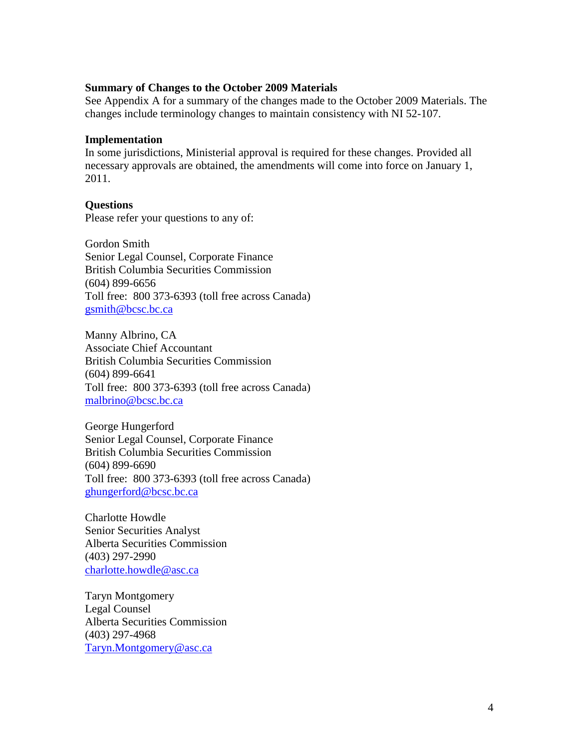#### **Summary of Changes to the October 2009 Materials**

See Appendix A for a summary of the changes made to the October 2009 Materials. The changes include terminology changes to maintain consistency with NI 52-107.

#### **Implementation**

In some jurisdictions, Ministerial approval is required for these changes. Provided all necessary approvals are obtained, the amendments will come into force on January 1, 2011.

### **Questions**

Please refer your questions to any of:

Gordon Smith Senior Legal Counsel, Corporate Finance British Columbia Securities Commission (604) 899-6656 Toll free: 800 373-6393 (toll free across Canada) [gsmith@bcsc.bc.ca](mailto:gsmith@bcsc.bc.ca)

Manny Albrino, CA Associate Chief Accountant British Columbia Securities Commission (604) 899-6641 Toll free: 800 373-6393 (toll free across Canada) [malbrino@bcsc.bc.ca](mailto:malbrino@bcsc.bc.ca)

George Hungerford Senior Legal Counsel, Corporate Finance British Columbia Securities Commission (604) 899-6690 Toll free: 800 373-6393 (toll free across Canada) [ghungerford@bcsc.bc.ca](mailto:ghungerford@bcsc.bc.ca)

Charlotte Howdle Senior Securities Analyst Alberta Securities Commission (403) 297-2990 [charlotte.howdle@asc.ca](mailto:charlotte.howdle@asc.ca)

Taryn Montgomery Legal Counsel Alberta Securities Commission (403) 297-4968 [Taryn.Montgomery@asc.ca](mailto:Taryn.Montgomery@asc.ca)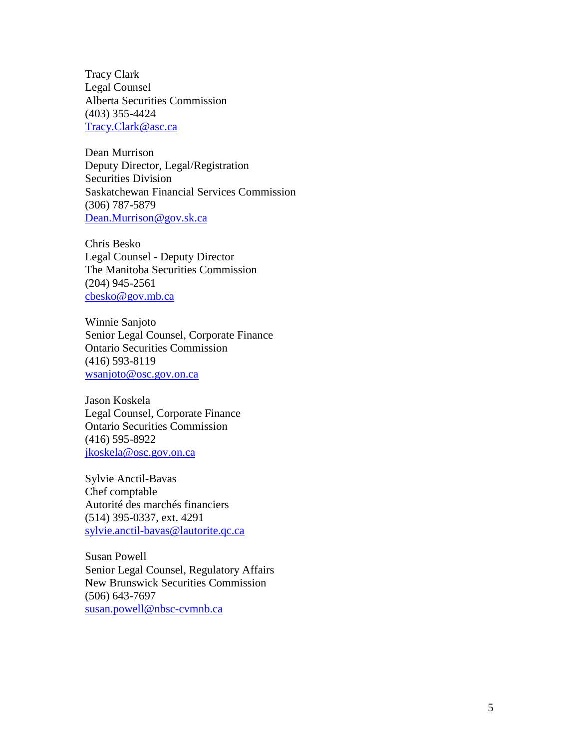Tracy Clark Legal Counsel Alberta Securities Commission (403) 355-4424 [Tracy.Clark@asc.ca](mailto:Tracy.Clark@asc.ca)

Dean Murrison Deputy Director, Legal/Registration Securities Division Saskatchewan Financial Services Commission (306) 787-5879 [Dean.Murrison@gov.sk.ca](mailto:Dean.Murrison@gov.sk.ca)

Chris Besko Legal Counsel - Deputy Director The Manitoba Securities Commission (204) 945-2561 [cbesko@gov.mb.ca](mailto:cbesko@gov.mb.ca)

Winnie Sanjoto Senior Legal Counsel, Corporate Finance Ontario Securities Commission (416) 593-8119 [wsanjoto@osc.gov.on.ca](mailto:wsanjoto@osc.gov.on.ca)

Jason Koskela Legal Counsel, Corporate Finance Ontario Securities Commission (416) 595-8922 [jkoskela@osc.gov.on.ca](mailto:jkoskela@osc.gov.on.ca)

Sylvie Anctil-Bavas Chef comptable Autorité des marchés financiers (514) 395-0337, ext. 4291 [sylvie.anctil-bavas@lautorite.qc.ca](mailto:sylvie.anctil-bavas@lautorite.qc.ca)

Susan Powell Senior Legal Counsel, Regulatory Affairs New Brunswick Securities Commission (506) 643-7697 [susan.powell@nbsc-cvmnb.ca](mailto:susan.powell@nbsc-cvmnb.ca)